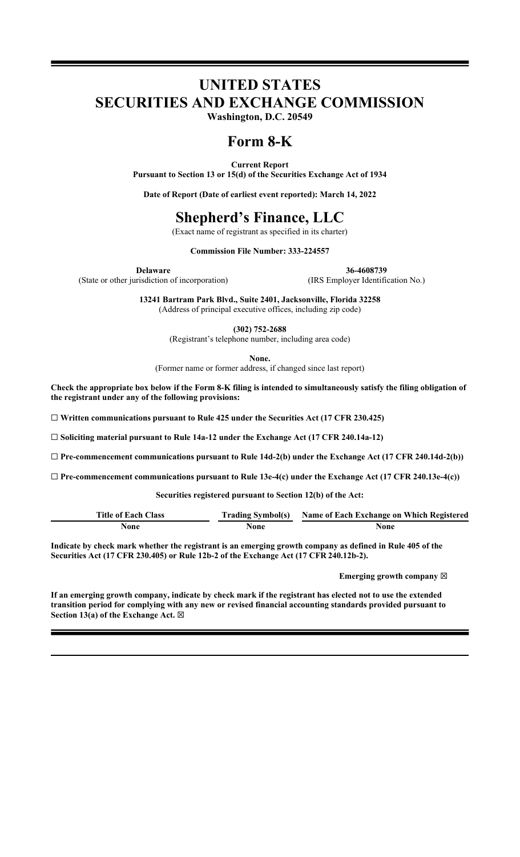# **UNITED STATES SECURITIES AND EXCHANGE COMMISSION**

**Washington, D.C. 20549**

# **Form 8-K**

**Current Report Pursuant to Section 13 or 15(d) of the Securities Exchange Act of 1934**

**Date of Report (Date of earliest event reported): March 14, 2022**

# **Shepherd's Finance, LLC**

(Exact name of registrant as specified in its charter)

**Commission File Number: 333-224557**

**Delaware 36-4608739** (State or other jurisdiction of incorporation) (IRS Employer Identification No.)

> **13241 Bartram Park Blvd., Suite 2401, Jacksonville, Florida 32258** (Address of principal executive offices, including zip code)

> > **(302) 752-2688** (Registrant's telephone number, including area code)

> > > **None.**

(Former name or former address, if changed since last report)

**Check the appropriate box below if the Form 8-K filing is intended to simultaneously satisfy the filing obligation of the registrant under any of the following provisions:**

☐ **Written communications pursuant to Rule 425 under the Securities Act (17 CFR 230.425)**

☐ **Soliciting material pursuant to Rule 14a-12 under the Exchange Act (17 CFR 240.14a-12)**

☐ **Pre-commencement communications pursuant to Rule 14d-2(b) under the Exchange Act (17 CFR 240.14d-2(b))**

☐ **Pre-commencement communications pursuant to Rule 13e-4(c) under the Exchange Act (17 CFR 240.13e-4(c))**

**Securities registered pursuant to Section 12(b) of the Act:**

| <b>Title of Each Class</b> | <b>Trading Symbol(s)</b> | <b>Name of Each Exchange on Which Registered</b> |
|----------------------------|--------------------------|--------------------------------------------------|
| None                       | None                     | None                                             |

**Indicate by check mark whether the registrant is an emerging growth company as defined in Rule 405 of the Securities Act (17 CFR 230.405) or Rule 12b-2 of the Exchange Act (17 CFR 240.12b-2).**

**Emerging growth company** ☒

**If an emerging growth company, indicate by check mark if the registrant has elected not to use the extended transition period for complying with any new or revised financial accounting standards provided pursuant to Section 13(a) of the Exchange Act.** ☒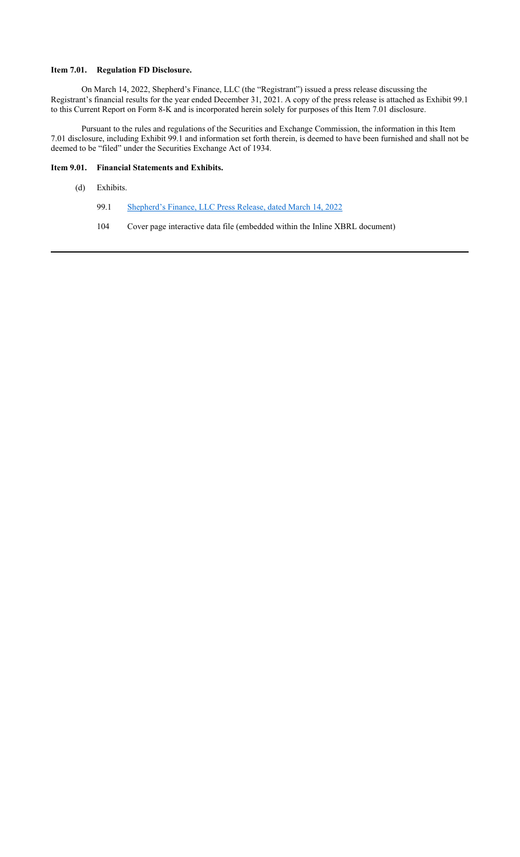# **Item 7.01. Regulation FD Disclosure.**

On March 14, 2022, Shepherd's Finance, LLC (the "Registrant") issued a press release discussing the Registrant's financial results for the year ended December 31, 2021. A copy of the press release is attached as Exhibit 99.1 to this Current Report on Form 8-K and is incorporated herein solely for purposes of this Item 7.01 disclosure.

Pursuant to the rules and regulations of the Securities and Exchange Commission, the information in this Item 7.01 disclosure, including Exhibit 99.1 and information set forth therein, is deemed to have been furnished and shall not be deemed to be "filed" under the Securities Exchange Act of 1934.

## **Item 9.01. Financial Statements and Exhibits.**

- (d) Exhibits.
	- 99.1 Shepherd's Finance, LLC Press Release, dated March 14, 2022
	- 104 Cover page interactive data file (embedded within the Inline XBRL document)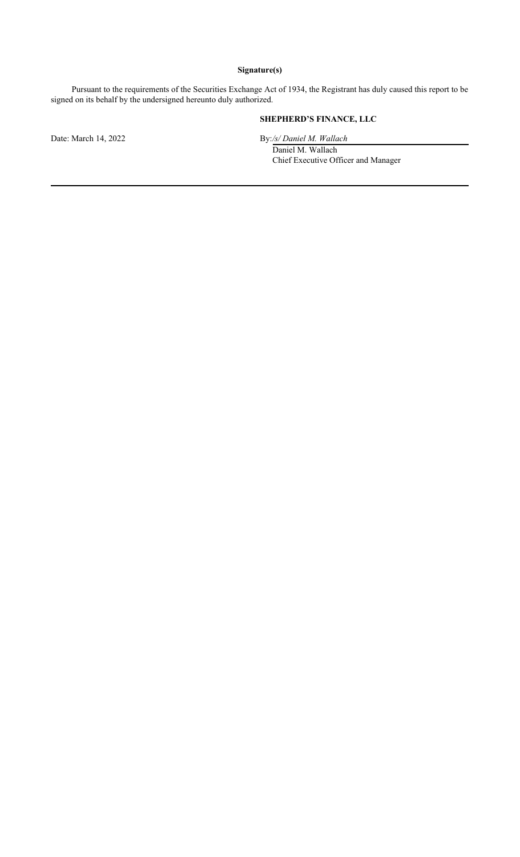# **Signature(s)**

Pursuant to the requirements of the Securities Exchange Act of 1934, the Registrant has duly caused this report to be signed on its behalf by the undersigned hereunto duly authorized.

# **SHEPHERD'S FINANCE, LLC**

Date: March 14, 2022 By:*/s/ Daniel M. Wallach*

Daniel M. Wallach Chief Executive Officer and Manager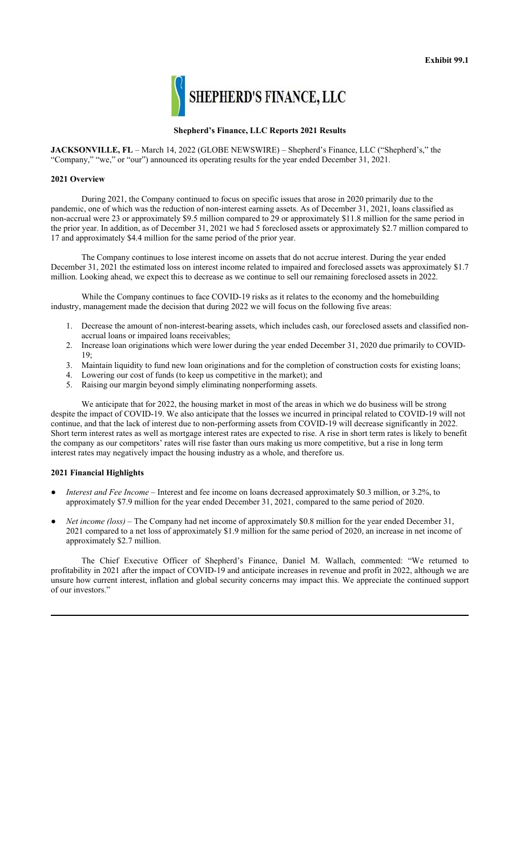

# **Shepherd's Finance, LLC Reports 2021 Results**

**JACKSONVILLE, FL** – March 14, 2022 (GLOBE NEWSWIRE) – Shepherd's Finance, LLC ("Shepherd's," the "Company," "we," or "our") announced its operating results for the year ended December 31, 2021.

## **2021 Overview**

During 2021, the Company continued to focus on specific issues that arose in 2020 primarily due to the pandemic, one of which was the reduction of non-interest earning assets. As of December 31, 2021, loans classified as non-accrual were 23 or approximately \$9.5 million compared to 29 or approximately \$11.8 million for the same period in the prior year. In addition, as of December 31, 2021 we had 5 foreclosed assets or approximately \$2.7 million compared to 17 and approximately \$4.4 million for the same period of the prior year.

The Company continues to lose interest income on assets that do not accrue interest. During the year ended December 31, 2021 the estimated loss on interest income related to impaired and foreclosed assets was approximately \$1.7 million. Looking ahead, we expect this to decrease as we continue to sell our remaining foreclosed assets in 2022.

While the Company continues to face COVID-19 risks as it relates to the economy and the homebuilding industry, management made the decision that during 2022 we will focus on the following five areas:

- 1. Decrease the amount of non-interest-bearing assets, which includes cash, our foreclosed assets and classified nonaccrual loans or impaired loans receivables;
- 2. Increase loan originations which were lower during the year ended December 31, 2020 due primarily to COVID-19;
- 3. Maintain liquidity to fund new loan originations and for the completion of construction costs for existing loans;
- 4. Lowering our cost of funds (to keep us competitive in the market); and
- 5. Raising our margin beyond simply eliminating nonperforming assets.

We anticipate that for 2022, the housing market in most of the areas in which we do business will be strong despite the impact of COVID-19. We also anticipate that the losses we incurred in principal related to COVID-19 will not continue, and that the lack of interest due to non-performing assets from COVID-19 will decrease significantly in 2022. Short term interest rates as well as mortgage interest rates are expected to rise. A rise in short term rates is likely to benefit the company as our competitors' rates will rise faster than ours making us more competitive, but a rise in long term interest rates may negatively impact the housing industry as a whole, and therefore us.

## **2021 Financial Highlights**

- *Interest and Fee Income* Interest and fee income on loans decreased approximately \$0.3 million, or 3.2%, to approximately \$7.9 million for the year ended December 31, 2021, compared to the same period of 2020.
- *Net income (loss)* The Company had net income of approximately \$0.8 million for the year ended December 31, 2021 compared to a net loss of approximately \$1.9 million for the same period of 2020, an increase in net income of approximately \$2.7 million.

The Chief Executive Officer of Shepherd's Finance, Daniel M. Wallach, commented: "We returned to profitability in 2021 after the impact of COVID-19 and anticipate increases in revenue and profit in 2022, although we are unsure how current interest, inflation and global security concerns may impact this. We appreciate the continued support of our investors."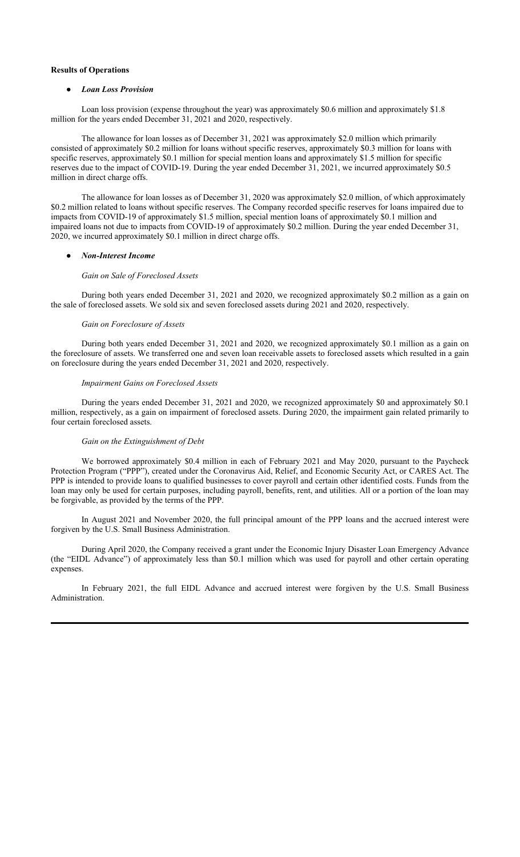## **Results of Operations**

# ● *Loan Loss Provision*

Loan loss provision (expense throughout the year) was approximately \$0.6 million and approximately \$1.8 million for the years ended December 31, 2021 and 2020, respectively.

The allowance for loan losses as of December 31, 2021 was approximately \$2.0 million which primarily consisted of approximately \$0.2 million for loans without specific reserves, approximately \$0.3 million for loans with specific reserves, approximately \$0.1 million for special mention loans and approximately \$1.5 million for specific reserves due to the impact of COVID-19. During the year ended December 31, 2021, we incurred approximately \$0.5 million in direct charge offs.

The allowance for loan losses as of December 31, 2020 was approximately \$2.0 million, of which approximately \$0.2 million related to loans without specific reserves. The Company recorded specific reserves for loans impaired due to impacts from COVID-19 of approximately \$1.5 million, special mention loans of approximately \$0.1 million and impaired loans not due to impacts from COVID-19 of approximately \$0.2 million. During the year ended December 31, 2020, we incurred approximately \$0.1 million in direct charge offs.

## ● *Non-Interest Income*

## *Gain on Sale of Foreclosed Assets*

During both years ended December 31, 2021 and 2020, we recognized approximately \$0.2 million as a gain on the sale of foreclosed assets. We sold six and seven foreclosed assets during 2021 and 2020, respectively.

## *Gain on Foreclosure of Assets*

During both years ended December 31, 2021 and 2020, we recognized approximately \$0.1 million as a gain on the foreclosure of assets. We transferred one and seven loan receivable assets to foreclosed assets which resulted in a gain on foreclosure during the years ended December 31, 2021 and 2020, respectively.

#### *Impairment Gains on Foreclosed Assets*

During the years ended December 31, 2021 and 2020, we recognized approximately \$0 and approximately \$0.1 million, respectively, as a gain on impairment of foreclosed assets. During 2020, the impairment gain related primarily to four certain foreclosed assets.

#### *Gain on the Extinguishment of Debt*

We borrowed approximately \$0.4 million in each of February 2021 and May 2020, pursuant to the Paycheck Protection Program ("PPP"), created under the Coronavirus Aid, Relief, and Economic Security Act, or CARES Act. The PPP is intended to provide loans to qualified businesses to cover payroll and certain other identified costs. Funds from the loan may only be used for certain purposes, including payroll, benefits, rent, and utilities. All or a portion of the loan may be forgivable, as provided by the terms of the PPP.

In August 2021 and November 2020, the full principal amount of the PPP loans and the accrued interest were forgiven by the U.S. Small Business Administration.

During April 2020, the Company received a grant under the Economic Injury Disaster Loan Emergency Advance (the "EIDL Advance") of approximately less than \$0.1 million which was used for payroll and other certain operating expenses.

In February 2021, the full EIDL Advance and accrued interest were forgiven by the U.S. Small Business Administration.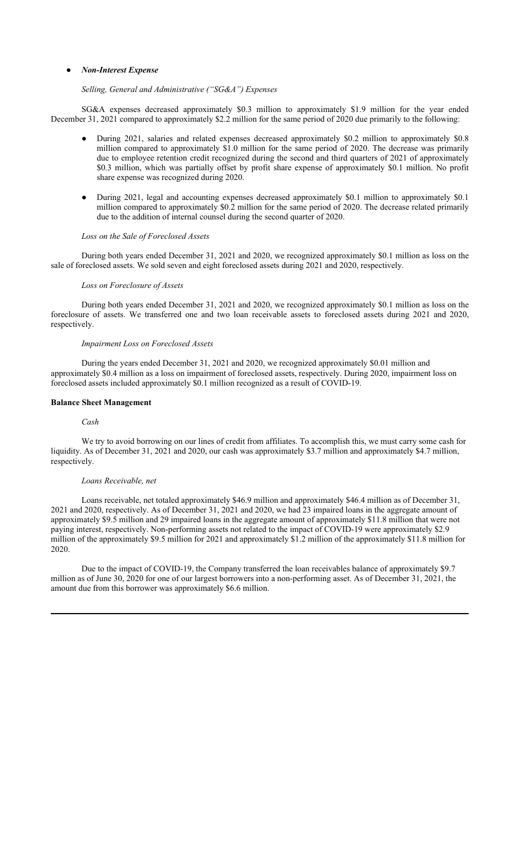# ● *Non-Interest Expense*

# *Selling, General and Administrative ("SG&A") Expenses*

SG&A expenses decreased approximately \$0.3 million to approximately \$1.9 million for the year ended December 31, 2021 compared to approximately \$2.2 million for the same period of 2020 due primarily to the following:

- During 2021, salaries and related expenses decreased approximately \$0.2 million to approximately \$0.8 million compared to approximately \$1.0 million for the same period of 2020. The decrease was primarily due to employee retention credit recognized during the second and third quarters of 2021 of approximately \$0.3 million, which was partially offset by profit share expense of approximately \$0.1 million. No profit share expense was recognized during 2020.
- During 2021, legal and accounting expenses decreased approximately \$0.1 million to approximately \$0.1 million compared to approximately \$0.2 million for the same period of 2020. The decrease related primarily due to the addition of internal counsel during the second quarter of 2020.

## *Loss on the Sale of Foreclosed Assets*

During both years ended December 31, 2021 and 2020, we recognized approximately \$0.1 million as loss on the sale of foreclosed assets. We sold seven and eight foreclosed assets during 2021 and 2020, respectively.

## *Loss on Foreclosure of Assets*

During both years ended December 31, 2021 and 2020, we recognized approximately \$0.1 million as loss on the foreclosure of assets. We transferred one and two loan receivable assets to foreclosed assets during 2021 and 2020, respectively.

#### *Impairment Loss on Foreclosed Assets*

During the years ended December 31, 2021 and 2020, we recognized approximately \$0.01 million and approximately \$0.4 million as a loss on impairment of foreclosed assets, respectively. During 2020, impairment loss on foreclosed assets included approximately \$0.1 million recognized as a result of COVID-19.

## **Balance Sheet Management**

### *Cash*

We try to avoid borrowing on our lines of credit from affiliates. To accomplish this, we must carry some cash for liquidity. As of December 31, 2021 and 2020, our cash was approximately \$3.7 million and approximately \$4.7 million, respectively.

#### *Loans Receivable, net*

Loans receivable, net totaled approximately \$46.9 million and approximately \$46.4 million as of December 31, 2021 and 2020, respectively. As of December 31, 2021 and 2020, we had 23 impaired loans in the aggregate amount of approximately \$9.5 million and 29 impaired loans in the aggregate amount of approximately \$11.8 million that were not paying interest, respectively. Non-performing assets not related to the impact of COVID-19 were approximately \$2.9 million of the approximately \$9.5 million for 2021 and approximately \$1.2 million of the approximately \$11.8 million for 2020.

Due to the impact of COVID-19, the Company transferred the loan receivables balance of approximately \$9.7 million as of June 30, 2020 for one of our largest borrowers into a non-performing asset. As of December 31, 2021, the amount due from this borrower was approximately \$6.6 million.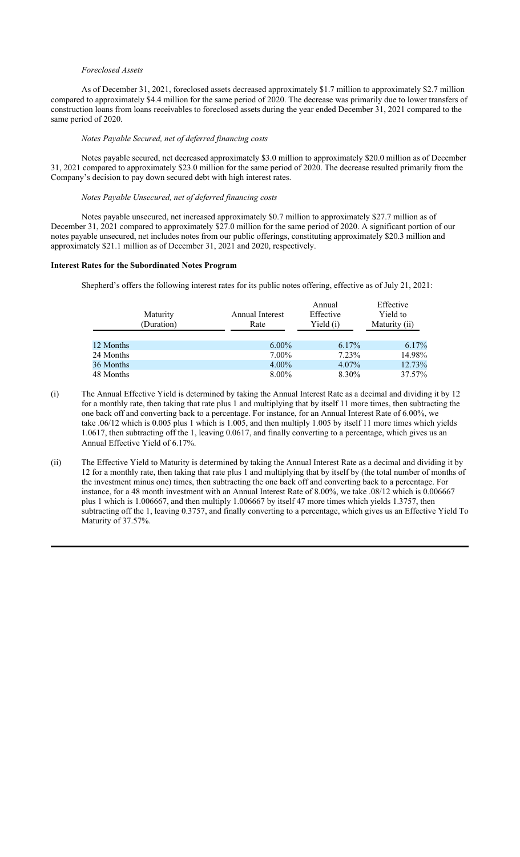# *Foreclosed Assets*

As of December 31, 2021, foreclosed assets decreased approximately \$1.7 million to approximately \$2.7 million compared to approximately \$4.4 million for the same period of 2020. The decrease was primarily due to lower transfers of construction loans from loans receivables to foreclosed assets during the year ended December 31, 2021 compared to the same period of 2020.

## *Notes Payable Secured, net of deferred financing costs*

Notes payable secured, net decreased approximately \$3.0 million to approximately \$20.0 million as of December 31, 2021 compared to approximately \$23.0 million for the same period of 2020. The decrease resulted primarily from the Company's decision to pay down secured debt with high interest rates.

# *Notes Payable Unsecured, net of deferred financing costs*

Notes payable unsecured, net increased approximately \$0.7 million to approximately \$27.7 million as of December 31, 2021 compared to approximately \$27.0 million for the same period of 2020. A significant portion of our notes payable unsecured, net includes notes from our public offerings, constituting approximately \$20.3 million and approximately \$21.1 million as of December 31, 2021 and 2020, respectively.

# **Interest Rates for the Subordinated Notes Program**

Shepherd's offers the following interest rates for its public notes offering, effective as of July 21, 2021:

| Maturity<br>(Duration) |  | Annual Interest<br>Rate | Annual<br>Effective<br>Yield (i) | Effective<br>Yield to<br>Maturity (ii) |  |
|------------------------|--|-------------------------|----------------------------------|----------------------------------------|--|
| 12 Months              |  | $6.00\%$                | $6.17\%$                         | 6.17%                                  |  |
| 24 Months              |  | 7.00%                   | 7.23%                            | 14.98%                                 |  |
| 36 Months              |  | $4.00\%$                | $4.07\%$                         | 12.73%                                 |  |
| 48 Months              |  | 8.00%                   | 8.30%                            | 37.57%                                 |  |

- (i) The Annual Effective Yield is determined by taking the Annual Interest Rate as a decimal and dividing it by 12 for a monthly rate, then taking that rate plus 1 and multiplying that by itself 11 more times, then subtracting the one back off and converting back to a percentage. For instance, for an Annual Interest Rate of 6.00%, we take .06/12 which is 0.005 plus 1 which is 1.005, and then multiply 1.005 by itself 11 more times which yields 1.0617, then subtracting off the 1, leaving 0.0617, and finally converting to a percentage, which gives us an Annual Effective Yield of 6.17%.
- (ii) The Effective Yield to Maturity is determined by taking the Annual Interest Rate as a decimal and dividing it by 12 for a monthly rate, then taking that rate plus 1 and multiplying that by itself by (the total number of months of the investment minus one) times, then subtracting the one back off and converting back to a percentage. For instance, for a 48 month investment with an Annual Interest Rate of 8.00%, we take .08/12 which is 0.006667 plus 1 which is 1.006667, and then multiply 1.006667 by itself 47 more times which yields 1.3757, then subtracting off the 1, leaving 0.3757, and finally converting to a percentage, which gives us an Effective Yield To Maturity of 37.57%.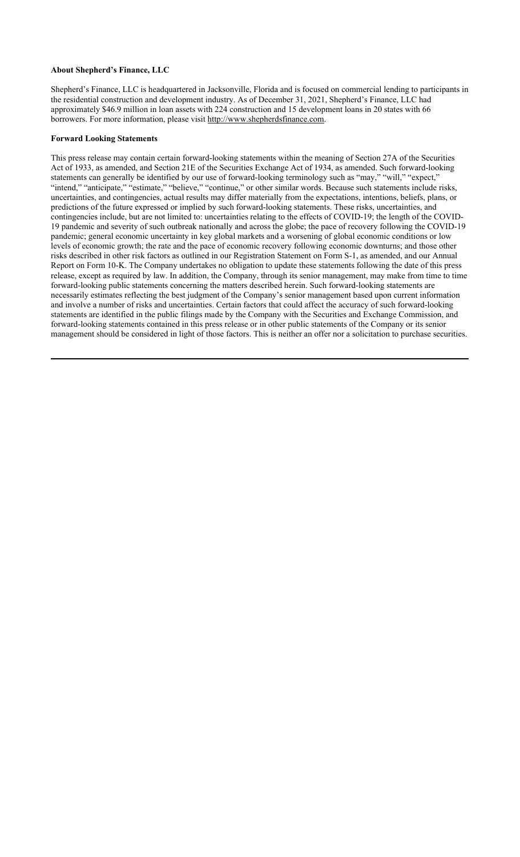# **About Shepherd's Finance, LLC**

Shepherd's Finance, LLC is headquartered in Jacksonville, Florida and is focused on commercial lending to participants in the residential construction and development industry. As of December 31, 2021, Shepherd's Finance, LLC had approximately \$46.9 million in loan assets with 224 construction and 15 development loans in 20 states with 66 borrowers. For more information, please visit http://www.shepherdsfinance.com.

## **Forward Looking Statements**

This press release may contain certain forward-looking statements within the meaning of Section 27A of the Securities Act of 1933, as amended, and Section 21E of the Securities Exchange Act of 1934, as amended. Such forward-looking statements can generally be identified by our use of forward-looking terminology such as "may," "will," "expect," "intend," "anticipate," "estimate," "believe," "continue," or other similar words. Because such statements include risks, uncertainties, and contingencies, actual results may differ materially from the expectations, intentions, beliefs, plans, or predictions of the future expressed or implied by such forward-looking statements. These risks, uncertainties, and contingencies include, but are not limited to: uncertainties relating to the effects of COVID-19; the length of the COVID-19 pandemic and severity of such outbreak nationally and across the globe; the pace of recovery following the COVID-19 pandemic; general economic uncertainty in key global markets and a worsening of global economic conditions or low levels of economic growth; the rate and the pace of economic recovery following economic downturns; and those other risks described in other risk factors as outlined in our Registration Statement on Form S-1, as amended, and our Annual Report on Form 10-K. The Company undertakes no obligation to update these statements following the date of this press release, except as required by law. In addition, the Company, through its senior management, may make from time to time forward-looking public statements concerning the matters described herein. Such forward-looking statements are necessarily estimates reflecting the best judgment of the Company's senior management based upon current information and involve a number of risks and uncertainties. Certain factors that could affect the accuracy of such forward-looking statements are identified in the public filings made by the Company with the Securities and Exchange Commission, and forward-looking statements contained in this press release or in other public statements of the Company or its senior management should be considered in light of those factors. This is neither an offer nor a solicitation to purchase securities.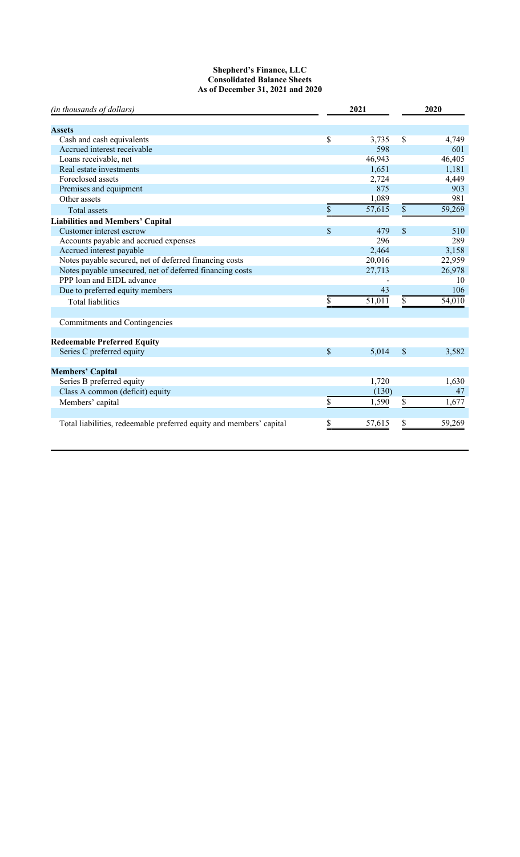# **Shepherd's Finance, LLC Consolidated Balance Sheets As of December 31, 2021 and 2020**

| (in thousands of dollars)                                           | 2021        |        | 2020 |        |
|---------------------------------------------------------------------|-------------|--------|------|--------|
|                                                                     |             |        |      |        |
| <b>Assets</b>                                                       |             |        |      |        |
| Cash and cash equivalents                                           | \$          | 3,735  | \$   | 4,749  |
| Accrued interest receivable                                         |             | 598    |      | 601    |
| Loans receivable, net                                               |             | 46,943 |      | 46,405 |
| Real estate investments                                             |             | 1,651  |      | 1,181  |
| Foreclosed assets                                                   |             | 2,724  |      | 4,449  |
| Premises and equipment                                              |             | 875    |      | 903    |
| Other assets                                                        |             | 1,089  |      | 981    |
| <b>Total</b> assets                                                 | \$          | 57,615 | \$   | 59,269 |
| <b>Liabilities and Members' Capital</b>                             |             |        |      |        |
| Customer interest escrow                                            | \$          | 479    | \$   | 510    |
| Accounts payable and accrued expenses                               |             | 296    |      | 289    |
| Accrued interest payable                                            |             | 2,464  |      | 3,158  |
| Notes payable secured, net of deferred financing costs              |             | 20,016 |      | 22,959 |
| Notes payable unsecured, net of deferred financing costs            |             | 27,713 |      | 26,978 |
| PPP loan and EIDL advance                                           |             |        |      | 10     |
| Due to preferred equity members                                     |             | 43     |      | 106    |
| <b>Total liabilities</b>                                            | \$          | 51,011 | \$   | 54,010 |
|                                                                     |             |        |      |        |
| Commitments and Contingencies                                       |             |        |      |        |
|                                                                     |             |        |      |        |
| <b>Redeemable Preferred Equity</b>                                  |             |        |      |        |
| Series C preferred equity                                           | $\mathbf S$ | 5,014  | \$   | 3,582  |
| <b>Members' Capital</b>                                             |             |        |      |        |
| Series B preferred equity                                           |             | 1,720  |      | 1,630  |
| Class A common (deficit) equity                                     |             | (130)  |      | 47     |
| Members' capital                                                    | \$          | 1,590  | \$   | 1,677  |
|                                                                     |             |        |      |        |
| Total liabilities, redeemable preferred equity and members' capital | \$          | 57,615 | \$   | 59,269 |